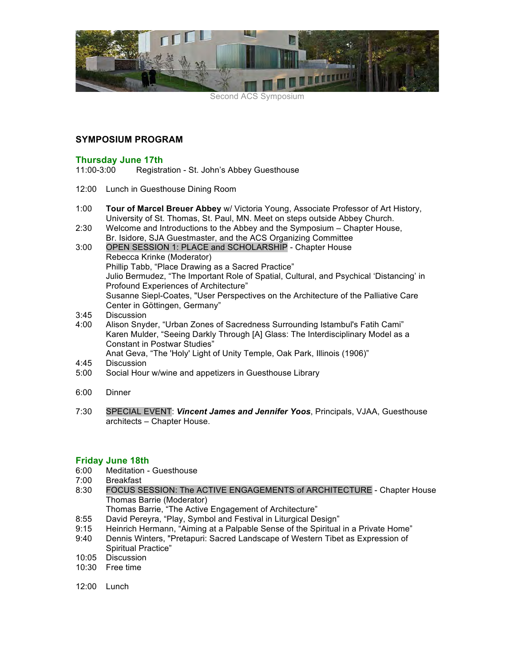

Second ACS Symposium

## **SYMPOSIUM PROGRAM**

### **Thursday June 17th**

11:00-3:00 Registration - St. John's Abbey Guesthouse

- 12:00 Lunch in Guesthouse Dining Room
- 1:00 **Tour of Marcel Breuer Abbey** w/ Victoria Young, Associate Professor of Art History, University of St. Thomas, St. Paul, MN. Meet on steps outside Abbey Church.
- 2:30 Welcome and Introductions to the Abbey and the Symposium Chapter House, Br. Isidore, SJA Guestmaster, and the ACS Organizing Committee
- 3:00 OPEN SESSION 1: PLACE and SCHOLARSHIP Chapter House Rebecca Krinke (Moderator) Phillip Tabb, "Place Drawing as a Sacred Practice" Julio Bermudez, "The Important Role of Spatial, Cultural, and Psychical 'Distancing' in Profound Experiences of Architecture" Susanne Siepl-Coates, "User Perspectives on the Architecture of the Palliative Care Center in Göttingen, Germany"
- 3:45 Discussion
- 4:00 Alison Snyder, "Urban Zones of Sacredness Surrounding Istambul's Fatih Cami" Karen Mulder, "Seeing Darkly Through [A] Glass: The Interdisciplinary Model as a Constant in Postwar Studies"

Anat Geva, "The 'Holy' Light of Unity Temple, Oak Park, Illinois (1906)"

- 4:45 Discussion
- 5:00 Social Hour w/wine and appetizers in Guesthouse Library
- 6:00 Dinner
- 7:30 SPECIAL EVENT: *Vincent James and Jennifer Yoos*, Principals, VJAA, Guesthouse architects – Chapter House.

- **Friday June 18th** Meditation - Guesthouse
- 7:00 Breakfast
- 8:30 FOCUS SESSION: The ACTIVE ENGAGEMENTS of ARCHITECTURE Chapter House Thomas Barrie (Moderator)
	- Thomas Barrie, "The Active Engagement of Architecture"
- 8:55 David Pereyra, "Play, Symbol and Festival in Liturgical Design"
- 9:15 Heinrich Hermann, "Aiming at a Palpable Sense of the Spiritual in a Private Home"
- 9:40 Dennis Winters, "Pretapuri: Sacred Landscape of Western Tibet as Expression of Spiritual Practice"
- 10:05 Discussion
- 10:30 Free time
- 12:00 Lunch